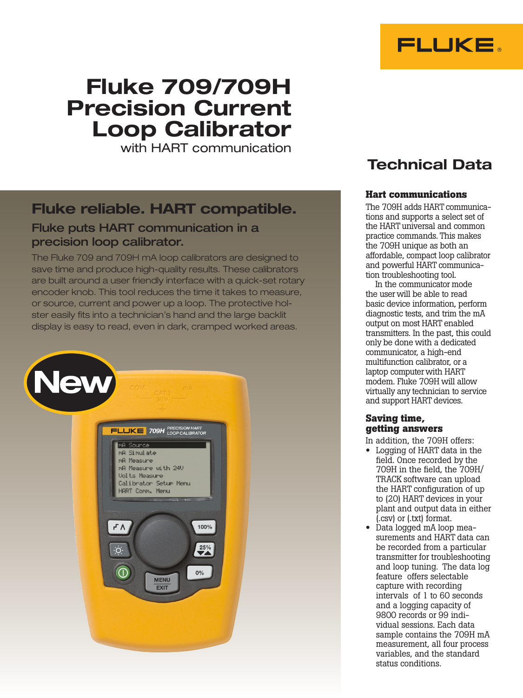

# Fluke 709/709H Precision Current Loop Calibrator

with HART communication

## Fluke reliable. HART compatible.

## Fluke puts HART communication in a precision loop calibrator.

The Fluke 709 and 709H mA loop calibrators are designed to save time and produce high-quality results. These calibrators are built around a user friendly interface with a quick-set rotary encoder knob. This tool reduces the time it takes to measure, or source, current and power up a loop. The protective holster easily fits into a technician's hand and the large backlit display is easy to read, even in dark, cramped worked areas.





## Technical Data

## **Hart communications**

The 709H adds HART communications and supports a select set of the HART universal and common practice commands. This makes the 709H unique as both an affordable, compact loop calibrator and powerful HART communication troubleshooting tool.

In the communicator mode the user will be able to read basic device information, perform diagnostic tests, and trim the mA output on most HART enabled transmitters. In the past, this could only be done with a dedicated communicator, a high-end multifunction calibrator, or a laptop computer with HART modem. Fluke 709H will allow virtually any technician to service and support HART devices.

### **Saving time, getting answers**

- In addition, the 709H offers:
- Logging of HART data in the field. Once recorded by the 709H in the field, the 709H/ TRACK software can upload the HART configuration of up to (20) HART devices in your plant and output data in either (.csv) or (.txt) format.
- Data logged mA loop measurements and HART data can be recorded from a particular transmitter for troubleshooting and loop tuning. The data log feature offers selectable capture with recording intervals of 1 to 60 seconds and a logging capacity of 9800 records or 99 individual sessions. Each data sample contains the 709H mA measurement, all four process variables, and the standard status conditions.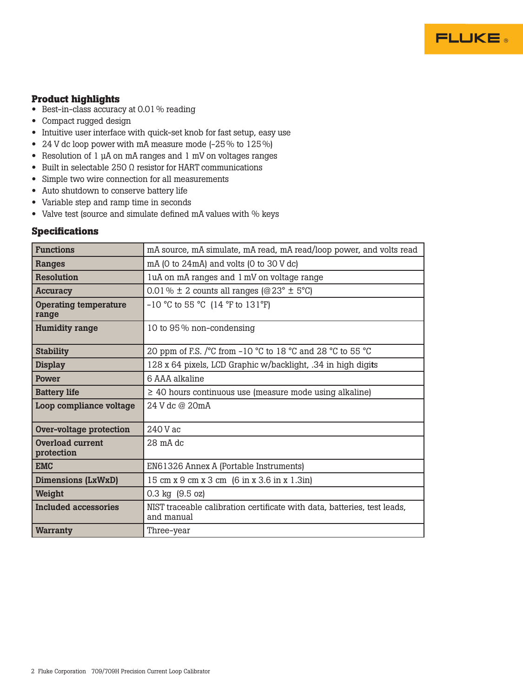### **Product highlights**

- Best-in-class accuracy at 0.01% reading
- Compact rugged design
- Intuitive user interface with quick-set knob for fast setup, easy use
- 24 V dc loop power with mA measure mode (-25% to 125%)
- Resolution of 1 µA on mA ranges and 1 mV on voltages ranges
- Built in selectable 250  $\Omega$  resistor for HART communications
- Simple two wire connection for all measurements
- Auto shutdown to conserve battery life
- Variable step and ramp time in seconds
- Valve test (source and simulate defined mA values with % keys

#### **Specifications**

| <b>Functions</b>                      | mA source, mA simulate, mA read, mA read/loop power, and volts read                                           |
|---------------------------------------|---------------------------------------------------------------------------------------------------------------|
| Ranges                                | $mA$ (0 to 24mA) and volts (0 to 30 V dc)                                                                     |
| <b>Resolution</b>                     | luA on mA ranges and 1 mV on voltage range                                                                    |
| <b>Accuracy</b>                       | 0.01 % $\pm$ 2 counts all ranges (@23° $\pm$ 5°C)                                                             |
| <b>Operating temperature</b><br>range | $-10$ °C to 55 °C (14 °F to 131°F)                                                                            |
| <b>Humidity range</b>                 | 10 to 95% non-condensing                                                                                      |
| <b>Stability</b>                      | 20 ppm of F.S. / $^{\circ}$ C from -10 $^{\circ}$ C to 18 $^{\circ}$ C and 28 $^{\circ}$ C to 55 $^{\circ}$ C |
| <b>Display</b>                        | 128 x 64 pixels, LCD Graphic w/backlight, .34 in high digits                                                  |
| Power                                 | 6 AAA alkaline                                                                                                |
| <b>Battery life</b>                   | $\geq$ 40 hours continuous use (measure mode using alkaline)                                                  |
| Loop compliance voltage               | 24 V dc @ 20mA                                                                                                |
| <b>Over-voltage protection</b>        | 240 V ac                                                                                                      |
| <b>Overload current</b><br>protection | 28 mA dc                                                                                                      |
| <b>EMC</b>                            | EN61326 Annex A (Portable Instruments)                                                                        |
| <b>Dimensions (LxWxD)</b>             | 15 cm x 9 cm x 3 cm (6 in x 3.6 in x 1.3in)                                                                   |
| Weight                                | 0.3 kg (9.5 oz)                                                                                               |
| Included accessories                  | NIST traceable calibration certificate with data, batteries, test leads,<br>and manual                        |
| <b>Warranty</b>                       | Three–year                                                                                                    |

**FLUKE**